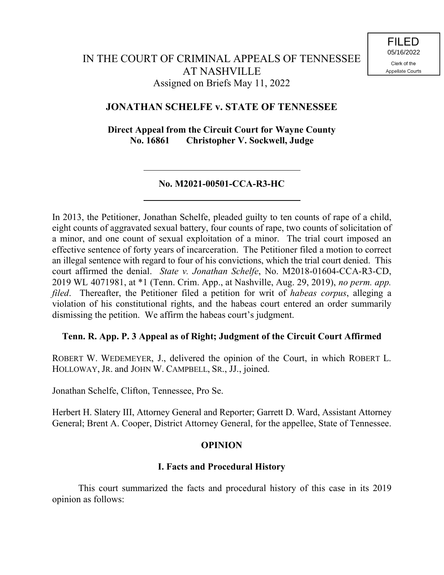# **JONATHAN SCHELFE v. STATE OF TENNESSEE**

**Direct Appeal from the Circuit Court for Wayne County No. 16861 Christopher V. Sockwell, Judge**

### **No. M2021-00501-CCA-R3-HC**

In 2013, the Petitioner, Jonathan Schelfe, pleaded guilty to ten counts of rape of a child, eight counts of aggravated sexual battery, four counts of rape, two counts of solicitation of a minor, and one count of sexual exploitation of a minor. The trial court imposed an effective sentence of forty years of incarceration. The Petitioner filed a motion to correct an illegal sentence with regard to four of his convictions, which the trial court denied. This court affirmed the denial. *State v. Jonathan Schelfe*, No. M2018-01604-CCA-R3-CD, 2019 WL 4071981, at \*1 (Tenn. Crim. App., at Nashville, Aug. 29, 2019), *no perm. app. filed*. Thereafter, the Petitioner filed a petition for writ of *habeas corpus*, alleging a violation of his constitutional rights, and the habeas court entered an order summarily dismissing the petition. We affirm the habeas court's judgment.

#### **Tenn. R. App. P. 3 Appeal as of Right; Judgment of the Circuit Court Affirmed**

ROBERT W. WEDEMEYER, J., delivered the opinion of the Court, in which ROBERT L. HOLLOWAY, JR. and JOHN W. CAMPBELL, SR., JJ., joined.

Jonathan Schelfe, Clifton, Tennessee, Pro Se.

Herbert H. Slatery III, Attorney General and Reporter; Garrett D. Ward, Assistant Attorney General; Brent A. Cooper, District Attorney General, for the appellee, State of Tennessee.

## **OPINION**

#### **I. Facts and Procedural History**

This court summarized the facts and procedural history of this case in its 2019 opinion as follows: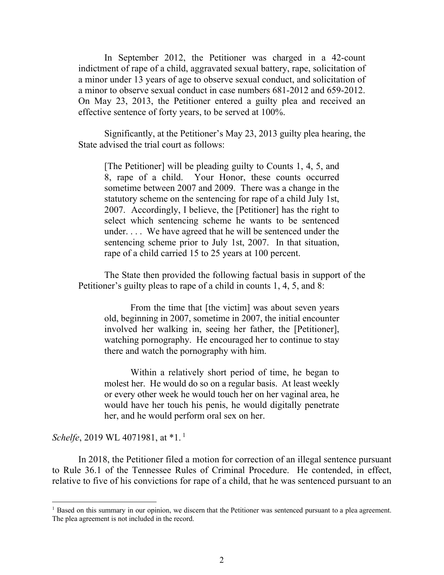In September 2012, the Petitioner was charged in a 42-count indictment of rape of a child, aggravated sexual battery, rape, solicitation of a minor under 13 years of age to observe sexual conduct, and solicitation of a minor to observe sexual conduct in case numbers 681-2012 and 659-2012. On May 23, 2013, the Petitioner entered a guilty plea and received an effective sentence of forty years, to be served at 100%.

Significantly, at the Petitioner's May 23, 2013 guilty plea hearing, the State advised the trial court as follows:

[The Petitioner] will be pleading guilty to Counts 1, 4, 5, and 8, rape of a child. Your Honor, these counts occurred sometime between 2007 and 2009. There was a change in the statutory scheme on the sentencing for rape of a child July 1st, 2007. Accordingly, I believe, the [Petitioner] has the right to select which sentencing scheme he wants to be sentenced under. . . . We have agreed that he will be sentenced under the sentencing scheme prior to July 1st, 2007. In that situation, rape of a child carried 15 to 25 years at 100 percent.

The State then provided the following factual basis in support of the Petitioner's guilty pleas to rape of a child in counts 1, 4, 5, and 8:

From the time that [the victim] was about seven years old, beginning in 2007, sometime in 2007, the initial encounter involved her walking in, seeing her father, the [Petitioner], watching pornography. He encouraged her to continue to stay there and watch the pornography with him.

Within a relatively short period of time, he began to molest her. He would do so on a regular basis. At least weekly or every other week he would touch her on her vaginal area, he would have her touch his penis, he would digitally penetrate her, and he would perform oral sex on her.

#### *Schelfe*, 2019 WL 4071981, at \*1.<sup>1</sup>

 $\overline{a}$ 

In 2018, the Petitioner filed a motion for correction of an illegal sentence pursuant to Rule 36.1 of the Tennessee Rules of Criminal Procedure. He contended, in effect, relative to five of his convictions for rape of a child, that he was sentenced pursuant to an

 $<sup>1</sup>$  Based on this summary in our opinion, we discern that the Petitioner was sentenced pursuant to a plea agreement.</sup> The plea agreement is not included in the record.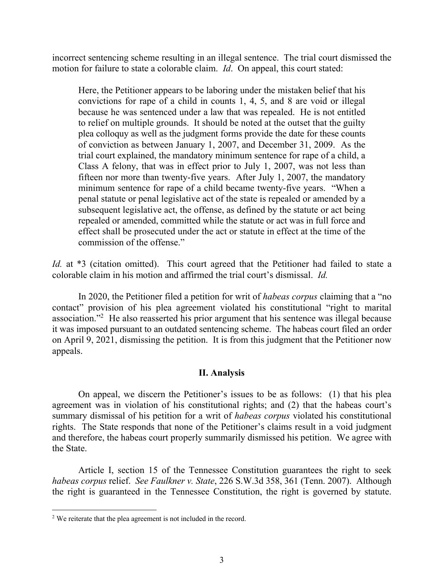incorrect sentencing scheme resulting in an illegal sentence. The trial court dismissed the motion for failure to state a colorable claim. *Id*. On appeal, this court stated:

Here, the Petitioner appears to be laboring under the mistaken belief that his convictions for rape of a child in counts 1, 4, 5, and 8 are void or illegal because he was sentenced under a law that was repealed. He is not entitled to relief on multiple grounds. It should be noted at the outset that the guilty plea colloquy as well as the judgment forms provide the date for these counts of conviction as between January 1, 2007, and December 31, 2009. As the trial court explained, the mandatory minimum sentence for rape of a child, a Class A felony, that was in effect prior to July 1, 2007, was not less than fifteen nor more than twenty-five years. After July 1, 2007, the mandatory minimum sentence for rape of a child became twenty-five years. "When a penal statute or penal legislative act of the state is repealed or amended by a subsequent legislative act, the offense, as defined by the statute or act being repealed or amended, committed while the statute or act was in full force and effect shall be prosecuted under the act or statute in effect at the time of the commission of the offense."

*Id.* at \*3 (citation omitted). This court agreed that the Petitioner had failed to state a colorable claim in his motion and affirmed the trial court's dismissal. *Id.*

In 2020, the Petitioner filed a petition for writ of *habeas corpus* claiming that a "no contact" provision of his plea agreement violated his constitutional "right to marital association."<sup>2</sup> He also reasserted his prior argument that his sentence was illegal because it was imposed pursuant to an outdated sentencing scheme. The habeas court filed an order on April 9, 2021, dismissing the petition. It is from this judgment that the Petitioner now appeals.

#### **II. Analysis**

On appeal, we discern the Petitioner's issues to be as follows: (1) that his plea agreement was in violation of his constitutional rights; and (2) that the habeas court's summary dismissal of his petition for a writ of *habeas corpus* violated his constitutional rights. The State responds that none of the Petitioner's claims result in a void judgment and therefore, the habeas court properly summarily dismissed his petition. We agree with the State.

Article I, section 15 of the Tennessee Constitution guarantees the right to seek *habeas corpus* relief. *See Faulkner v. State*, 226 S.W.3d 358, 361 (Tenn. 2007). Although the right is guaranteed in the Tennessee Constitution, the right is governed by statute.

 $\overline{a}$ 

<sup>&</sup>lt;sup>2</sup> We reiterate that the plea agreement is not included in the record.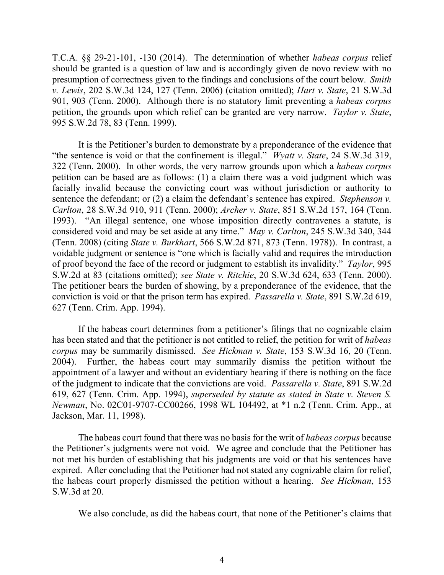T.C.A. §§ 29-21-101, -130 (2014). The determination of whether *habeas corpus* relief should be granted is a question of law and is accordingly given de novo review with no presumption of correctness given to the findings and conclusions of the court below. *Smith v. Lewis*, 202 S.W.3d 124, 127 (Tenn. 2006) (citation omitted); *Hart v. State*, 21 S.W.3d 901, 903 (Tenn. 2000). Although there is no statutory limit preventing a *habeas corpus* petition, the grounds upon which relief can be granted are very narrow. *Taylor v. State*, 995 S.W.2d 78, 83 (Tenn. 1999).

It is the Petitioner's burden to demonstrate by a preponderance of the evidence that "the sentence is void or that the confinement is illegal." *Wyatt v. State*, 24 S.W.3d 319, 322 (Tenn. 2000). In other words, the very narrow grounds upon which a *habeas corpus* petition can be based are as follows: (1) a claim there was a void judgment which was facially invalid because the convicting court was without jurisdiction or authority to sentence the defendant; or (2) a claim the defendant's sentence has expired. *Stephenson v. Carlton*, 28 S.W.3d 910, 911 (Tenn. 2000); *Archer v. State*, 851 S.W.2d 157, 164 (Tenn. 1993). "An illegal sentence, one whose imposition directly contravenes a statute, is considered void and may be set aside at any time." *May v. Carlton*, 245 S.W.3d 340, 344 (Tenn. 2008) (citing *State v. Burkhart*, 566 S.W.2d 871, 873 (Tenn. 1978)). In contrast, a voidable judgment or sentence is "one which is facially valid and requires the introduction of proof beyond the face of the record or judgment to establish its invalidity." *Taylor*, 995 S.W.2d at 83 (citations omitted); *see State v. Ritchie*, 20 S.W.3d 624, 633 (Tenn. 2000). The petitioner bears the burden of showing, by a preponderance of the evidence, that the conviction is void or that the prison term has expired. *Passarella v. State*, 891 S.W.2d 619, 627 (Tenn. Crim. App. 1994).

If the habeas court determines from a petitioner's filings that no cognizable claim has been stated and that the petitioner is not entitled to relief, the petition for writ of *habeas corpus* may be summarily dismissed. *See Hickman v. State*, 153 S.W.3d 16, 20 (Tenn. 2004). Further, the habeas court may summarily dismiss the petition without the appointment of a lawyer and without an evidentiary hearing if there is nothing on the face of the judgment to indicate that the convictions are void. *Passarella v. State*, 891 S.W.2d 619, 627 (Tenn. Crim. App. 1994), *superseded by statute as stated in State v. Steven S. Newman*, No. 02C01-9707-CC00266, 1998 WL 104492, at \*1 n.2 (Tenn. Crim. App., at Jackson, Mar. 11, 1998).

The habeas court found that there was no basis for the writ of *habeas corpus* because the Petitioner's judgments were not void. We agree and conclude that the Petitioner has not met his burden of establishing that his judgments are void or that his sentences have expired. After concluding that the Petitioner had not stated any cognizable claim for relief, the habeas court properly dismissed the petition without a hearing. *See Hickman*, 153 S.W.3d at 20.

We also conclude, as did the habeas court, that none of the Petitioner's claims that